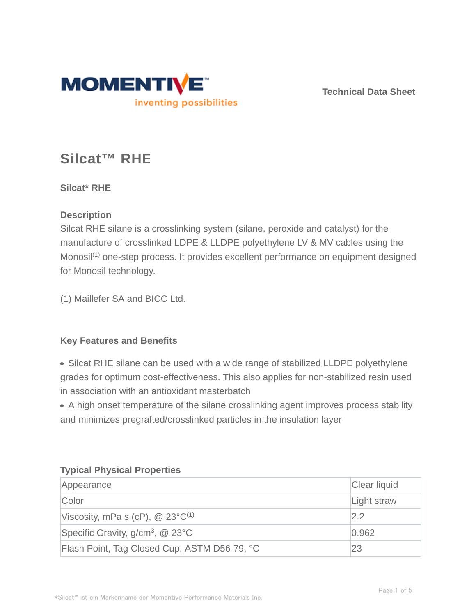

**Technical Data Sheet**

# **Silcat™ RHE**

**Silcat\* RHE**

## **Description**

Silcat RHE silane is a crosslinking system (silane, peroxide and catalyst) for the manufacture of crosslinked LDPE & LLDPE polyethylene LV & MV cables using the Monosil<sup>(1)</sup> one-step process. It provides excellent performance on equipment designed for Monosil technology.

(1) Maillefer SA and BICC Ltd.

## **Key Features and Benefits**

• Silcat RHE silane can be used with a wide range of stabilized LLDPE polyethylene grades for optimum cost-effectiveness. This also applies for non-stabilized resin used in association with an antioxidant masterbatch

A high onset temperature of the silane crosslinking agent improves process stability and minimizes pregrafted/crosslinked particles in the insulation layer

| Appearance                                          | Clear liquid |
|-----------------------------------------------------|--------------|
| Color                                               | Light straw  |
| Viscosity, mPa s (cP), $\omega$ 23°C <sup>(1)</sup> | 2.2          |
| Specific Gravity, $g/cm^3$ , @ 23 $^{\circ}$ C      | 0.962        |
| Flash Point, Tag Closed Cup, ASTM D56-79, °C        | 23           |

#### **Typical Physical Properties**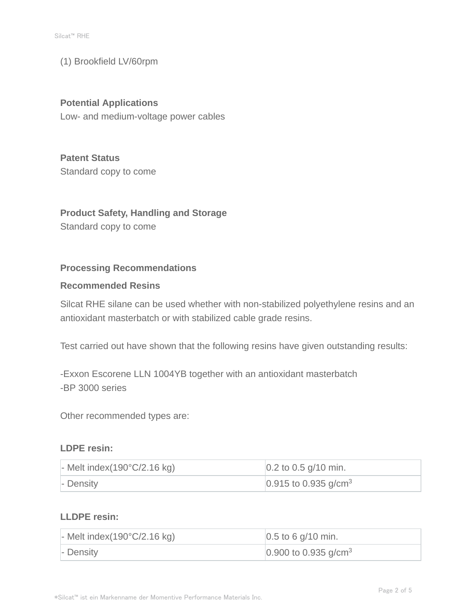#### (1) Brookfield LV/60rpm

# **Potential Applications**

Low- and medium-voltage power cables

# **Patent Status**

Standard copy to come

## **Product Safety, Handling and Storage**

Standard copy to come

#### **Processing Recommendations**

#### **Recommended Resins**

Silcat RHE silane can be used whether with non-stabilized polyethylene resins and an antioxidant masterbatch or with stabilized cable grade resins.

Test carried out have shown that the following resins have given outstanding results:

-Exxon Escorene LLN 1004YB together with an antioxidant masterbatch -BP 3000 series

Other recommended types are:

#### **LDPE resin:**

| $\blacksquare$ - Melt index(190 $\degree$ C/2.16 kg) | $\vert 0.2 \text{ to } 0.5 \text{ g} / 10 \text{ min.}$ |
|------------------------------------------------------|---------------------------------------------------------|
| - Density                                            | 0.915 to 0.935 g/cm <sup>3</sup>                        |

## **LLDPE resin:**

| - Melt index $(190^{\circ}C/2.16$ kg) | $ 0.5 \text{ to } 6 \text{ g}/10 \text{ min.}$ |
|---------------------------------------|------------------------------------------------|
| - Density                             | $0.900$ to 0.935 g/cm <sup>3</sup>             |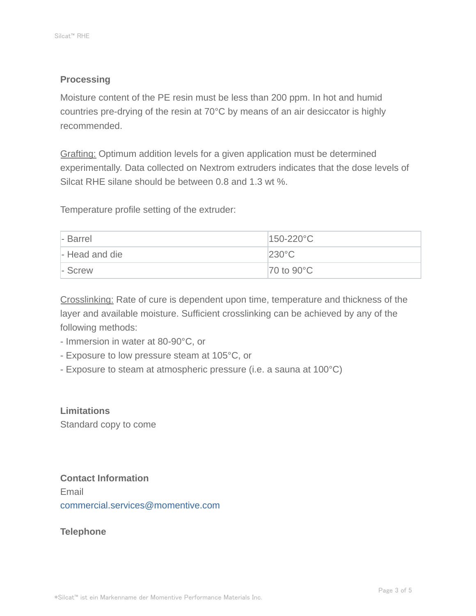### **Processing**

Moisture content of the PE resin must be less than 200 ppm. In hot and humid countries pre-drying of the resin at 70°C by means of an air desiccator is highly recommended.

Grafting: Optimum addition levels for a given application must be determined experimentally. Data collected on Nextrom extruders indicates that the dose levels of Silcat RHE silane should be between 0.8 and 1.3 wt %.

Temperature profile setting of the extruder:

| - Barrel       | $150-220$ °C                      |
|----------------|-----------------------------------|
| - Head and die | $230^{\circ}$ C                   |
| - Screw        | $\overline{70}$ to $90^{\circ}$ C |

Crosslinking: Rate of cure is dependent upon time, temperature and thickness of the layer and available moisture. Sufficient crosslinking can be achieved by any of the following methods:

- Immersion in water at 80-90°C, or
- Exposure to low pressure steam at 105°C, or
- Exposure to steam at atmospheric pressure (i.e. a sauna at 100°C)

**Limitations** Standard copy to come

# **Contact Information**

Email commercial.services@momentive.com

**Telephone**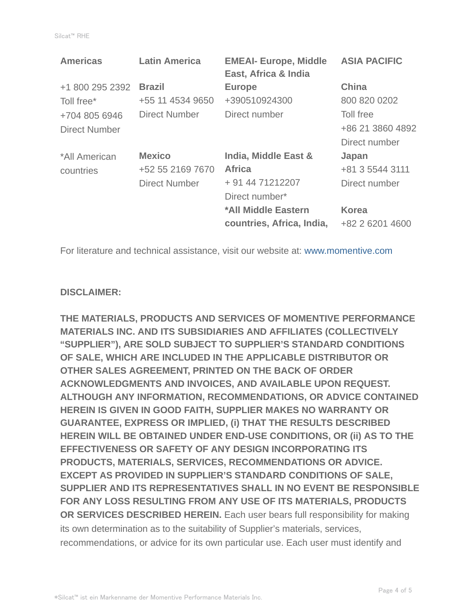| <b>Latin America</b> | <b>EMEAI- Europe, Middle</b><br>East, Africa & India | <b>ASIA PACIFIC</b> |
|----------------------|------------------------------------------------------|---------------------|
| <b>Brazil</b>        | <b>Europe</b>                                        | <b>China</b>        |
| +55 11 4534 9650     | +390510924300                                        | 800 820 0202        |
| Direct Number        | Direct number                                        | Toll free           |
|                      |                                                      | +86 21 3860 4892    |
|                      |                                                      | Direct number       |
| <b>Mexico</b>        | India, Middle East &                                 | Japan               |
| +52 55 2169 7670     | <b>Africa</b>                                        | +81 3 5544 3111     |
| <b>Direct Number</b> | + 91 44 71212207                                     | Direct number       |
|                      | Direct number*                                       |                     |
|                      | *All Middle Eastern                                  | <b>Korea</b>        |
|                      | countries, Africa, India,                            | +82 2 6201 4600     |
|                      |                                                      |                     |

For literature and technical assistance, visit our website at: www.momentive.com

#### **DISCLAIMER:**

**THE MATERIALS, PRODUCTS AND SERVICES OF MOMENTIVE PERFORMANCE MATERIALS INC. AND ITS SUBSIDIARIES AND AFFILIATES (COLLECTIVELY "SUPPLIER"), ARE SOLD SUBJECT TO SUPPLIER'S STANDARD CONDITIONS OF SALE, WHICH ARE INCLUDED IN THE APPLICABLE DISTRIBUTOR OR OTHER SALES AGREEMENT, PRINTED ON THE BACK OF ORDER ACKNOWLEDGMENTS AND INVOICES, AND AVAILABLE UPON REQUEST. ALTHOUGH ANY INFORMATION, RECOMMENDATIONS, OR ADVICE CONTAINED HEREIN IS GIVEN IN GOOD FAITH, SUPPLIER MAKES NO WARRANTY OR GUARANTEE, EXPRESS OR IMPLIED, (i) THAT THE RESULTS DESCRIBED HEREIN WILL BE OBTAINED UNDER END-USE CONDITIONS, OR (ii) AS TO THE EFFECTIVENESS OR SAFETY OF ANY DESIGN INCORPORATING ITS PRODUCTS, MATERIALS, SERVICES, RECOMMENDATIONS OR ADVICE. EXCEPT AS PROVIDED IN SUPPLIER'S STANDARD CONDITIONS OF SALE, SUPPLIER AND ITS REPRESENTATIVES SHALL IN NO EVENT BE RESPONSIBLE FOR ANY LOSS RESULTING FROM ANY USE OF ITS MATERIALS, PRODUCTS OR SERVICES DESCRIBED HEREIN.** Each user bears full responsibility for making its own determination as to the suitability of Supplier's materials, services, recommendations, or advice for its own particular use. Each user must identify and